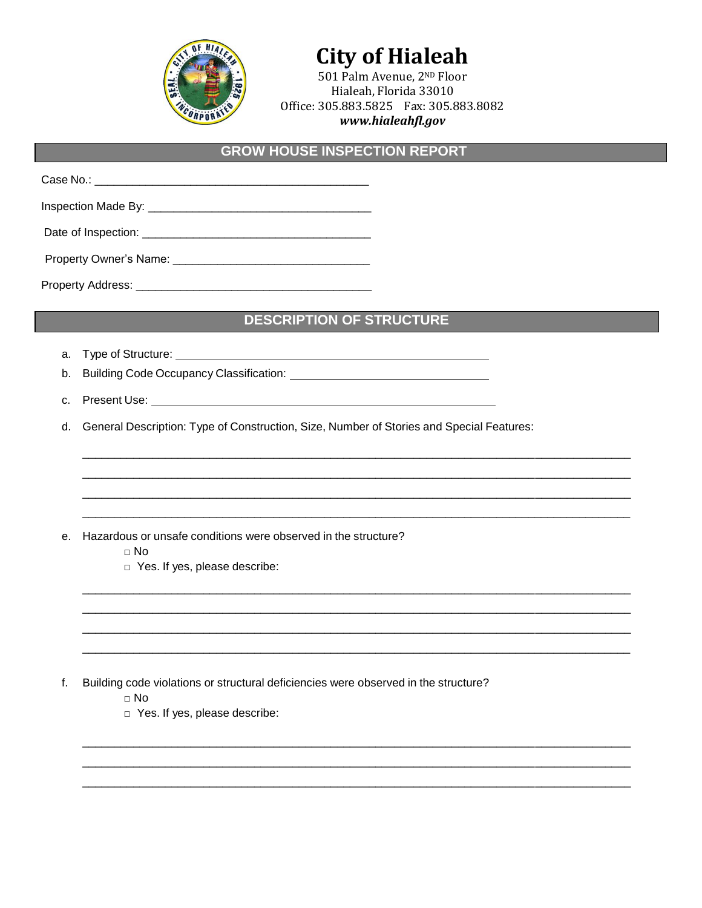

# **City of Hialeah**

501 Palm Avenue, 2ND Floor Hialeah, Florida 33010 Office: 305.883.5825 Fax: 305.883.8082 *www.hialeahfl.gov*

#### **GROW HOUSE INSPECTION REPORT**

Case No.:  $\Box$ Inspection Made By: \_\_\_\_\_\_\_\_\_\_\_\_\_\_\_\_\_\_\_\_\_\_\_\_\_\_\_\_\_\_\_\_\_\_\_

Date of Inspection: \_\_\_\_\_\_\_\_\_\_\_\_\_\_\_\_\_\_\_\_\_\_\_\_\_\_\_\_\_\_\_\_\_\_\_\_

Property Owner's Name: \_\_\_\_\_\_\_\_\_\_\_\_\_\_\_\_\_\_\_\_\_\_\_\_\_\_\_\_\_\_\_

Property Address: \_\_\_\_\_\_\_\_\_\_\_\_\_\_\_\_\_\_\_\_\_\_\_\_\_\_\_\_\_\_\_\_\_\_\_\_\_

#### **DESCRIPTION OF STRUCTURE**

\_\_\_\_\_\_\_\_\_\_\_\_\_\_\_\_\_\_\_\_\_\_\_\_\_\_\_\_\_\_\_\_\_\_\_\_\_\_\_\_\_\_\_\_\_\_\_\_\_\_\_\_\_\_\_\_\_\_\_\_\_\_\_\_\_\_\_\_\_\_\_\_\_\_\_\_\_\_\_\_\_\_\_\_\_\_ \_\_\_\_\_\_\_\_\_\_\_\_\_\_\_\_\_\_\_\_\_\_\_\_\_\_\_\_\_\_\_\_\_\_\_\_\_\_\_\_\_\_\_\_\_\_\_\_\_\_\_\_\_\_\_\_\_\_\_\_\_\_\_\_\_\_\_\_\_\_\_\_\_\_\_\_\_\_\_\_\_\_\_\_\_\_ \_\_\_\_\_\_\_\_\_\_\_\_\_\_\_\_\_\_\_\_\_\_\_\_\_\_\_\_\_\_\_\_\_\_\_\_\_\_\_\_\_\_\_\_\_\_\_\_\_\_\_\_\_\_\_\_\_\_\_\_\_\_\_\_\_\_\_\_\_\_\_\_\_\_\_\_\_\_\_\_\_\_\_\_\_\_ \_\_\_\_\_\_\_\_\_\_\_\_\_\_\_\_\_\_\_\_\_\_\_\_\_\_\_\_\_\_\_\_\_\_\_\_\_\_\_\_\_\_\_\_\_\_\_\_\_\_\_\_\_\_\_\_\_\_\_\_\_\_\_\_\_\_\_\_\_\_\_\_\_\_\_\_\_\_\_\_\_\_\_\_\_\_

\_\_\_\_\_\_\_\_\_\_\_\_\_\_\_\_\_\_\_\_\_\_\_\_\_\_\_\_\_\_\_\_\_\_\_\_\_\_\_\_\_\_\_\_\_\_\_\_\_\_\_\_\_\_\_\_\_\_\_\_\_\_\_\_\_\_\_\_\_\_\_\_\_\_\_\_\_\_\_\_\_\_\_\_\_\_ \_\_\_\_\_\_\_\_\_\_\_\_\_\_\_\_\_\_\_\_\_\_\_\_\_\_\_\_\_\_\_\_\_\_\_\_\_\_\_\_\_\_\_\_\_\_\_\_\_\_\_\_\_\_\_\_\_\_\_\_\_\_\_\_\_\_\_\_\_\_\_\_\_\_\_\_\_\_\_\_\_\_\_\_\_\_ \_\_\_\_\_\_\_\_\_\_\_\_\_\_\_\_\_\_\_\_\_\_\_\_\_\_\_\_\_\_\_\_\_\_\_\_\_\_\_\_\_\_\_\_\_\_\_\_\_\_\_\_\_\_\_\_\_\_\_\_\_\_\_\_\_\_\_\_\_\_\_\_\_\_\_\_\_\_\_\_\_\_\_\_\_\_ \_\_\_\_\_\_\_\_\_\_\_\_\_\_\_\_\_\_\_\_\_\_\_\_\_\_\_\_\_\_\_\_\_\_\_\_\_\_\_\_\_\_\_\_\_\_\_\_\_\_\_\_\_\_\_\_\_\_\_\_\_\_\_\_\_\_\_\_\_\_\_\_\_\_\_\_\_\_\_\_\_\_\_\_\_\_

\_\_\_\_\_\_\_\_\_\_\_\_\_\_\_\_\_\_\_\_\_\_\_\_\_\_\_\_\_\_\_\_\_\_\_\_\_\_\_\_\_\_\_\_\_\_\_\_\_\_\_\_\_\_\_\_\_\_\_\_\_\_\_\_\_\_\_\_\_\_\_\_\_\_\_\_\_\_\_\_\_\_\_\_\_\_ \_\_\_\_\_\_\_\_\_\_\_\_\_\_\_\_\_\_\_\_\_\_\_\_\_\_\_\_\_\_\_\_\_\_\_\_\_\_\_\_\_\_\_\_\_\_\_\_\_\_\_\_\_\_\_\_\_\_\_\_\_\_\_\_\_\_\_\_\_\_\_\_\_\_\_\_\_\_\_\_\_\_\_\_\_\_ \_\_\_\_\_\_\_\_\_\_\_\_\_\_\_\_\_\_\_\_\_\_\_\_\_\_\_\_\_\_\_\_\_\_\_\_\_\_\_\_\_\_\_\_\_\_\_\_\_\_\_\_\_\_\_\_\_\_\_\_\_\_\_\_\_\_\_\_\_\_\_\_\_\_\_\_\_\_\_\_\_\_\_\_\_\_

- a. Type of Structure:
- b. Building Code Occupancy Classification: <u>Container Containing</u>
- c. Present Use:

d. General Description: Type of Construction, Size, Number of Stories and Special Features:

e. Hazardous or unsafe conditions were observed in the structure?

- $\Box$  No
- □ Yes. If yes, please describe:

- f. Building code violations or structural deficiencies were observed in the structure?
	- □ No
	- □ Yes. If yes, please describe: